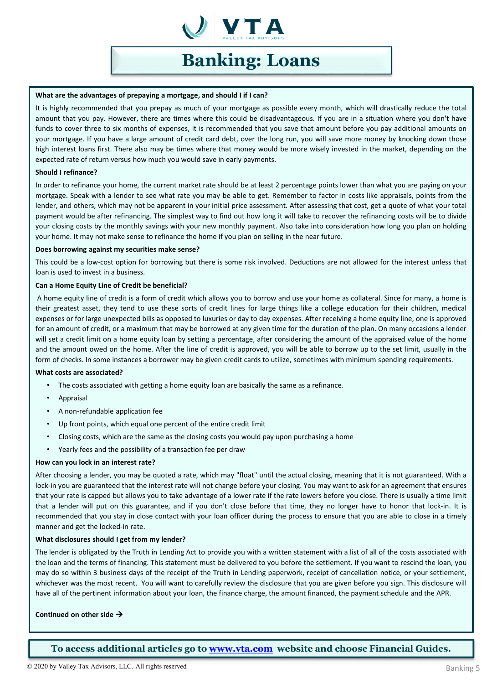

# **Banking: Loans**

## **What are the advantages of prepaying a mortgage, and should I if I can?**

It is highly recommended that you prepay as much of your mortgage as possible every month, which will drastically reduce the total amount that you pay. However, there are times where this could be disadvantageous. If you are in a situation where you don't have funds to cover three to six months of expenses, it is recommended that you save that amount before you pay additional amounts on your mortgage. If you have a large amount of credit card debt, over the long run, you will save more money by knocking down those high interest loans first. There also may be times where that money would be more wisely invested in the market, depending on the expected rate of return versus how much you would save in early payments.

## **Should I refinance?**

In order to refinance your home, the current market rate should be at least 2 percentage points lower than what you are paying on your mortgage. Speak with a lender to see what rate you may be able to get. Remember to factor in costs like appraisals, points from the lender, and others, which may not be apparent in your initial price assessment. After assessing that cost, get a quote of what your total payment would be after refinancing. The simplest way to find out how long it will take to recover the refinancing costs will be to divide your closing costs by the monthly savings with your new monthly payment. Also take into consideration how long you plan on holding your home. It may not make sense to refinance the home if you plan on selling in the near future.

## **Does borrowing against my securities make sense?**

This could be a low-cost option for borrowing but there is some risk involved. Deductions are not allowed for the interest unless that loan is used to invest in a business.

# **Can a Home Equity Line of Credit be beneficial?**

A home equity line of credit is a form of credit which allows you to borrow and use your home as collateral. Since for many, a home is their greatest asset, they tend to use these sorts of credit lines for large things like a college education for their children, medical expenses or for large unexpected bills as opposed to luxuries or day to day expenses. After receiving a home equity line, one is approved for an amount of credit, or a maximum that may be borrowed at any given time for the duration of the plan. On many occasions a lender will set a credit limit on a home equity loan by setting a percentage, after considering the amount of the appraised value of the home and the amount owed on the home. After the line of credit is approved, you will be able to borrow up to the set limit, usually in the form of checks. In some instances a borrower may be given credit cards to utilize, sometimes with minimum spending requirements.

## **What costs are associated?**

- The costs associated with getting a home equity loan are basically the same as a refinance.
- Appraisal
- A non-refundable application fee
- Up front points, which equal one percent of the entire credit limit
- Closing costs, which are the same as the closing costs you would pay upon purchasing a home
- Yearly fees and the possibility of a transaction fee per draw

## **How can you lock in an interest rate?**

After choosing a lender, you may be quoted a rate, which may "float" until the actual closing, meaning that it is not guaranteed. With a lock-in you are guaranteed that the interest rate will not change before your closing. You may want to ask for an agreement that ensures that your rate is capped but allows you to take advantage of a lower rate if the rate lowers before you close. There is usually a time limit that a lender will put on this guarantee, and if you don't close before that time, they no longer have to honor that lock-in. It is recommended that you stay in close contact with your loan officer during the process to ensure that you are able to close in a timely manner and get the locked-in rate.

## **What disclosures should I get from my lender?**

The lender is obligated by the Truth in Lending Act to provide you with a written statement with a list of all of the costs associated with the loan and the terms of financing. This statement must be delivered to you before the settlement. If you want to rescind the loan, you may do so within 3 business days of the receipt of the Truth in Lending paperwork, receipt of cancellation notice, or your settlement, whichever was the most recent. You will want to carefully review the disclosure that you are given before you sign. This disclosure will have all of the pertinent information about your loan, the finance charge, the amount financed, the payment schedule and the APR.

# **Continued on other side**

**To access additional articles go to [www.vta.com](http://www.vta.com/) website and choose Financial Guides.**